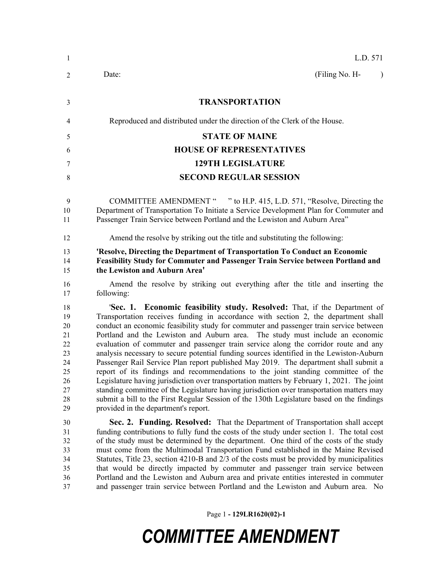| -1                                                                   | L.D. 571                                                                                                                                                                                                                                                                                                                                                                                                                                                                                                                                                                                                                                                                                                                                                                                                                                                                                                                                                                                                                                   |  |  |  |
|----------------------------------------------------------------------|--------------------------------------------------------------------------------------------------------------------------------------------------------------------------------------------------------------------------------------------------------------------------------------------------------------------------------------------------------------------------------------------------------------------------------------------------------------------------------------------------------------------------------------------------------------------------------------------------------------------------------------------------------------------------------------------------------------------------------------------------------------------------------------------------------------------------------------------------------------------------------------------------------------------------------------------------------------------------------------------------------------------------------------------|--|--|--|
| $\overline{2}$                                                       | (Filing No. H-<br>Date:<br>$\mathcal{L}$                                                                                                                                                                                                                                                                                                                                                                                                                                                                                                                                                                                                                                                                                                                                                                                                                                                                                                                                                                                                   |  |  |  |
| 3                                                                    | <b>TRANSPORTATION</b>                                                                                                                                                                                                                                                                                                                                                                                                                                                                                                                                                                                                                                                                                                                                                                                                                                                                                                                                                                                                                      |  |  |  |
| 4                                                                    | Reproduced and distributed under the direction of the Clerk of the House.                                                                                                                                                                                                                                                                                                                                                                                                                                                                                                                                                                                                                                                                                                                                                                                                                                                                                                                                                                  |  |  |  |
| 5                                                                    | <b>STATE OF MAINE</b>                                                                                                                                                                                                                                                                                                                                                                                                                                                                                                                                                                                                                                                                                                                                                                                                                                                                                                                                                                                                                      |  |  |  |
| 6                                                                    | <b>HOUSE OF REPRESENTATIVES</b>                                                                                                                                                                                                                                                                                                                                                                                                                                                                                                                                                                                                                                                                                                                                                                                                                                                                                                                                                                                                            |  |  |  |
| 7                                                                    | <b>129TH LEGISLATURE</b>                                                                                                                                                                                                                                                                                                                                                                                                                                                                                                                                                                                                                                                                                                                                                                                                                                                                                                                                                                                                                   |  |  |  |
| 8                                                                    | <b>SECOND REGULAR SESSION</b>                                                                                                                                                                                                                                                                                                                                                                                                                                                                                                                                                                                                                                                                                                                                                                                                                                                                                                                                                                                                              |  |  |  |
| 9<br>10<br>11                                                        | COMMITTEE AMENDMENT " " to H.P. 415, L.D. 571, "Resolve, Directing the<br>Department of Transportation To Initiate a Service Development Plan for Commuter and<br>Passenger Train Service between Portland and the Lewiston and Auburn Area"                                                                                                                                                                                                                                                                                                                                                                                                                                                                                                                                                                                                                                                                                                                                                                                               |  |  |  |
| 12                                                                   | Amend the resolve by striking out the title and substituting the following:                                                                                                                                                                                                                                                                                                                                                                                                                                                                                                                                                                                                                                                                                                                                                                                                                                                                                                                                                                |  |  |  |
| 13<br>14<br>15                                                       | 'Resolve, Directing the Department of Transportation To Conduct an Economic<br>Feasibility Study for Commuter and Passenger Train Service between Portland and<br>the Lewiston and Auburn Area'                                                                                                                                                                                                                                                                                                                                                                                                                                                                                                                                                                                                                                                                                                                                                                                                                                            |  |  |  |
| 16<br>17                                                             | Amend the resolve by striking out everything after the title and inserting the<br>following:                                                                                                                                                                                                                                                                                                                                                                                                                                                                                                                                                                                                                                                                                                                                                                                                                                                                                                                                               |  |  |  |
| 18<br>19<br>20<br>21<br>22<br>23<br>24<br>25<br>26<br>27<br>28<br>29 | 'Sec. 1. Economic feasibility study. Resolved: That, if the Department of<br>Transportation receives funding in accordance with section 2, the department shall<br>conduct an economic feasibility study for commuter and passenger train service between<br>Portland and the Lewiston and Auburn area. The study must include an economic<br>evaluation of commuter and passenger train service along the corridor route and any<br>analysis necessary to secure potential funding sources identified in the Lewiston-Auburn<br>Passenger Rail Service Plan report published May 2019. The department shall submit a<br>report of its findings and recommendations to the joint standing committee of the<br>Legislature having jurisdiction over transportation matters by February 1, 2021. The joint<br>standing committee of the Legislature having jurisdiction over transportation matters may<br>submit a bill to the First Regular Session of the 130th Legislature based on the findings<br>provided in the department's report. |  |  |  |
| 30<br>31<br>32<br>33<br>34<br>35<br>36<br>37                         | Sec. 2. Funding. Resolved: That the Department of Transportation shall accept<br>funding contributions to fully fund the costs of the study under section 1. The total cost<br>of the study must be determined by the department. One third of the costs of the study<br>must come from the Multimodal Transportation Fund established in the Maine Revised<br>Statutes, Title 23, section 4210-B and 2/3 of the costs must be provided by municipalities<br>that would be directly impacted by commuter and passenger train service between<br>Portland and the Lewiston and Auburn area and private entities interested in commuter<br>and passenger train service between Portland and the Lewiston and Auburn area. No                                                                                                                                                                                                                                                                                                                 |  |  |  |

Page 1 **- 129LR1620(02)-1**

# *COMMITTEE AMENDMENT*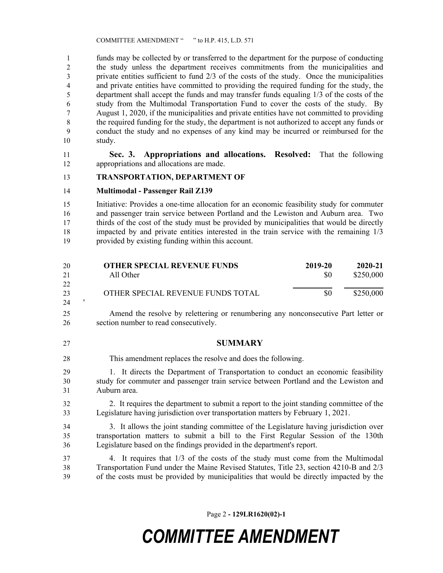COMMITTEE AMENDMENT " " to H.P. 415, L.D. 571

 funds may be collected by or transferred to the department for the purpose of conducting the study unless the department receives commitments from the municipalities and private entities sufficient to fund 2/3 of the costs of the study. Once the municipalities and private entities have committed to providing the required funding for the study, the department shall accept the funds and may transfer funds equaling 1/3 of the costs of the study from the Multimodal Transportation Fund to cover the costs of the study. By August 1, 2020, if the municipalities and private entities have not committed to providing the required funding for the study, the department is not authorized to accept any funds or conduct the study and no expenses of any kind may be incurred or reimbursed for the study.

 **Sec. 3. Appropriations and allocations. Resolved:** That the following appropriations and allocations are made.

#### **TRANSPORTATION, DEPARTMENT OF**

**Multimodal - Passenger Rail Z139**

 Initiative: Provides a one-time allocation for an economic feasibility study for commuter and passenger train service between Portland and the Lewiston and Auburn area. Two thirds of the cost of the study must be provided by municipalities that would be directly impacted by and private entities interested in the train service with the remaining 1/3 provided by existing funding within this account.

| 20 | <b>OTHER SPECIAL REVENUE FUNDS</b> | 2019-20 | 2020-21   |
|----|------------------------------------|---------|-----------|
| 21 | All Other                          | \$0     | \$250,000 |
| 22 |                                    |         |           |
| 23 | OTHER SPECIAL REVENUE FUNDS TOTAL  | \$0     | \$250,000 |
| 24 |                                    |         |           |

 Amend the resolve by relettering or renumbering any nonconsecutive Part letter or section number to read consecutively.

#### **SUMMARY**

- This amendment replaces the resolve and does the following.
- 1. It directs the Department of Transportation to conduct an economic feasibility study for commuter and passenger train service between Portland and the Lewiston and Auburn area.
- 2. It requires the department to submit a report to the joint standing committee of the Legislature having jurisdiction over transportation matters by February 1, 2021.
- 3. It allows the joint standing committee of the Legislature having jurisdiction over transportation matters to submit a bill to the First Regular Session of the 130th Legislature based on the findings provided in the department's report.
- 4. It requires that 1/3 of the costs of the study must come from the Multimodal Transportation Fund under the Maine Revised Statutes, Title 23, section 4210-B and 2/3 of the costs must be provided by municipalities that would be directly impacted by the

Page 2 **- 129LR1620(02)-1**

## *COMMITTEE AMENDMENT*